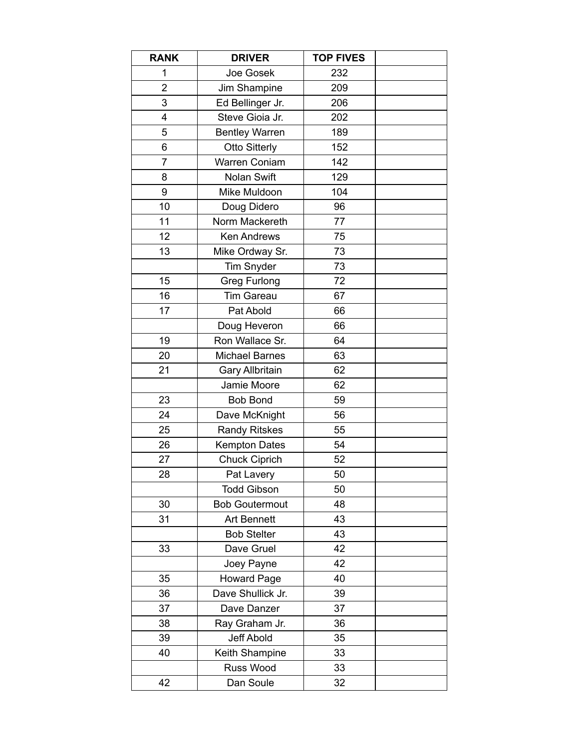| <b>RANK</b>    | <b>DRIVER</b>          | <b>TOP FIVES</b> |  |
|----------------|------------------------|------------------|--|
| 1              | Joe Gosek              | 232              |  |
| $\overline{2}$ | Jim Shampine           | 209              |  |
| 3              | Ed Bellinger Jr.       | 206              |  |
| 4              | Steve Gioia Jr.        | 202              |  |
| 5              | <b>Bentley Warren</b>  | 189              |  |
| 6              | <b>Otto Sitterly</b>   | 152              |  |
| 7              | Warren Coniam          | 142              |  |
| 8              | Nolan Swift            | 129              |  |
| 9              | Mike Muldoon           | 104              |  |
| 10             | Doug Didero            | 96               |  |
| 11             | Norm Mackereth         | 77               |  |
| 12             | <b>Ken Andrews</b>     | 75               |  |
| 13             | Mike Ordway Sr.        | 73               |  |
|                | <b>Tim Snyder</b>      | 73               |  |
| 15             | <b>Greg Furlong</b>    | 72               |  |
| 16             | <b>Tim Gareau</b>      | 67               |  |
| 17             | Pat Abold              | 66               |  |
|                | Doug Heveron           | 66               |  |
| 19             | Ron Wallace Sr.        | 64               |  |
| 20             | <b>Michael Barnes</b>  | 63               |  |
| 21             | <b>Gary Allbritain</b> | 62               |  |
|                | Jamie Moore            | 62               |  |
| 23             | <b>Bob Bond</b>        | 59               |  |
| 24             | Dave McKnight          | 56               |  |
| 25             | <b>Randy Ritskes</b>   | 55               |  |
| 26             | <b>Kempton Dates</b>   | 54               |  |
| 27             | <b>Chuck Ciprich</b>   | 52               |  |
| 28             | Pat Lavery             | 50               |  |
|                | <b>Todd Gibson</b>     | 50               |  |
| 30             | <b>Bob Goutermout</b>  | 48               |  |
| 31             | <b>Art Bennett</b>     | 43               |  |
|                | <b>Bob Stelter</b>     | 43               |  |
| 33             | Dave Gruel             | 42               |  |
|                | Joey Payne             | 42               |  |
| 35             | <b>Howard Page</b>     | 40               |  |
| 36             | Dave Shullick Jr.      | 39               |  |
| 37             | Dave Danzer            | 37               |  |
| 38             | Ray Graham Jr.         | 36               |  |
| 39             | Jeff Abold             | 35               |  |
| 40             | Keith Shampine         | 33               |  |
|                | Russ Wood              | 33               |  |
| 42             | Dan Soule              | 32               |  |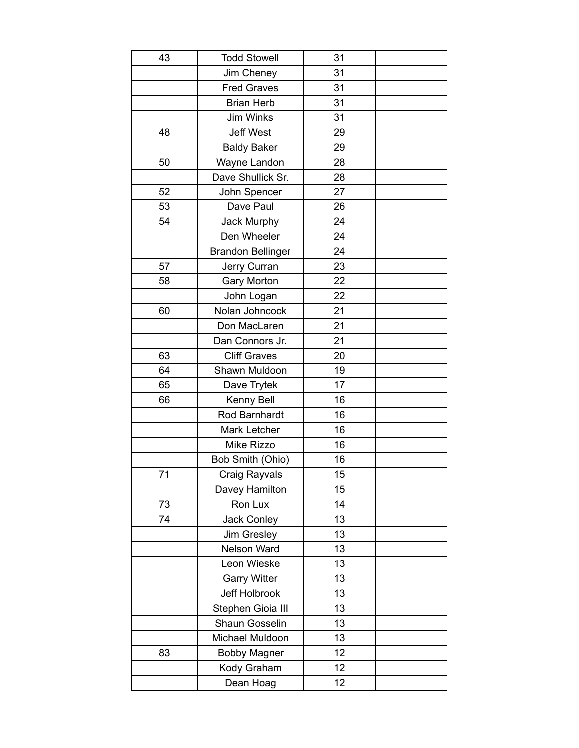| 43 | <b>Todd Stowell</b>      | 31 |  |
|----|--------------------------|----|--|
|    | Jim Cheney               | 31 |  |
|    | <b>Fred Graves</b>       | 31 |  |
|    | <b>Brian Herb</b>        | 31 |  |
|    | Jim Winks                | 31 |  |
| 48 | <b>Jeff West</b>         | 29 |  |
|    | <b>Baldy Baker</b>       | 29 |  |
| 50 | Wayne Landon             | 28 |  |
|    | Dave Shullick Sr.        | 28 |  |
| 52 | John Spencer             | 27 |  |
| 53 | Dave Paul                | 26 |  |
| 54 | Jack Murphy              | 24 |  |
|    | Den Wheeler              | 24 |  |
|    | <b>Brandon Bellinger</b> | 24 |  |
| 57 | Jerry Curran             | 23 |  |
| 58 | <b>Gary Morton</b>       | 22 |  |
|    | John Logan               | 22 |  |
| 60 | Nolan Johncock           | 21 |  |
|    | Don MacLaren             | 21 |  |
|    | Dan Connors Jr.          | 21 |  |
| 63 | <b>Cliff Graves</b>      | 20 |  |
| 64 | Shawn Muldoon            | 19 |  |
| 65 | Dave Trytek              | 17 |  |
| 66 | Kenny Bell               | 16 |  |
|    | Rod Barnhardt            | 16 |  |
|    | <b>Mark Letcher</b>      | 16 |  |
|    | Mike Rizzo               | 16 |  |
|    | Bob Smith (Ohio)         | 16 |  |
| 71 | Craig Rayvals            | 15 |  |
|    | Davey Hamilton           | 15 |  |
| 73 | Ron Lux                  | 14 |  |
| 74 | <b>Jack Conley</b>       | 13 |  |
|    | Jim Gresley              | 13 |  |
|    | Nelson Ward              | 13 |  |
|    | Leon Wieske              | 13 |  |
|    | <b>Garry Witter</b>      | 13 |  |
|    | Jeff Holbrook            | 13 |  |
|    | Stephen Gioia III        | 13 |  |
|    | Shaun Gosselin           | 13 |  |
|    | Michael Muldoon          | 13 |  |
| 83 | <b>Bobby Magner</b>      | 12 |  |
|    | Kody Graham              | 12 |  |
|    | Dean Hoag                | 12 |  |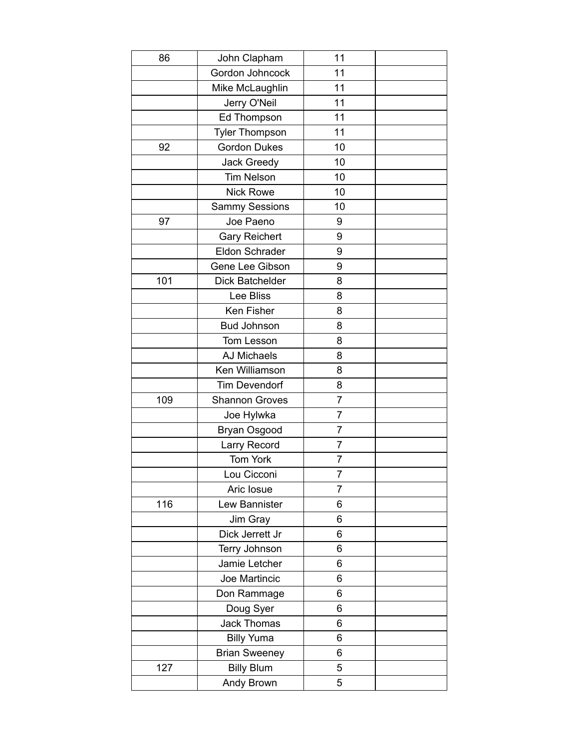| 86  | John Clapham          | 11             |  |
|-----|-----------------------|----------------|--|
|     | Gordon Johncock       | 11             |  |
|     | Mike McLaughlin       | 11             |  |
|     | Jerry O'Neil          | 11             |  |
|     | Ed Thompson           | 11             |  |
|     | <b>Tyler Thompson</b> | 11             |  |
| 92  | <b>Gordon Dukes</b>   | 10             |  |
|     | <b>Jack Greedy</b>    | 10             |  |
|     | <b>Tim Nelson</b>     | 10             |  |
|     | <b>Nick Rowe</b>      | 10             |  |
|     | <b>Sammy Sessions</b> | 10             |  |
| 97  | Joe Paeno             | 9              |  |
|     | <b>Gary Reichert</b>  | 9              |  |
|     | Eldon Schrader        | 9              |  |
|     | Gene Lee Gibson       | 9              |  |
| 101 | Dick Batchelder       | 8              |  |
|     | Lee Bliss             | 8              |  |
|     | Ken Fisher            | 8              |  |
|     | <b>Bud Johnson</b>    | 8              |  |
|     | Tom Lesson            | 8              |  |
|     | <b>AJ Michaels</b>    | 8              |  |
|     | Ken Williamson        | 8              |  |
|     | <b>Tim Devendorf</b>  | 8              |  |
| 109 | <b>Shannon Groves</b> | $\overline{7}$ |  |
|     | Joe Hylwka            | $\overline{7}$ |  |
|     | Bryan Osgood          | $\overline{7}$ |  |
|     | Larry Record          | $\overline{7}$ |  |
|     | Tom York              | 7              |  |
|     | Lou Cicconi           | 7              |  |
|     | Aric Iosue            | $\overline{7}$ |  |
| 116 | Lew Bannister         | 6              |  |
|     | Jim Gray              | 6              |  |
|     | Dick Jerrett Jr       | 6              |  |
|     | Terry Johnson         | 6              |  |
|     | Jamie Letcher         | 6              |  |
|     | Joe Martincic         | 6              |  |
|     | Don Rammage           | 6              |  |
|     | Doug Syer             | 6              |  |
|     | <b>Jack Thomas</b>    | 6              |  |
|     | <b>Billy Yuma</b>     | 6              |  |
|     | <b>Brian Sweeney</b>  | 6              |  |
| 127 | <b>Billy Blum</b>     | 5              |  |
|     | Andy Brown            | 5              |  |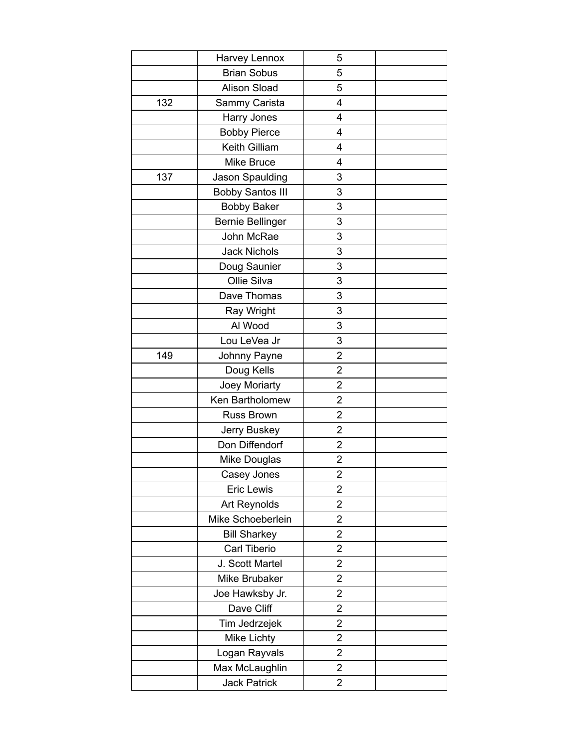|     | Harvey Lennox           | 5                       |  |
|-----|-------------------------|-------------------------|--|
|     | <b>Brian Sobus</b>      | 5                       |  |
|     | <b>Alison Sload</b>     | 5                       |  |
| 132 | Sammy Carista           | $\overline{4}$          |  |
|     | Harry Jones             | $\overline{4}$          |  |
|     | <b>Bobby Pierce</b>     | $\overline{4}$          |  |
|     | Keith Gilliam           | $\overline{4}$          |  |
|     | <b>Mike Bruce</b>       | 4                       |  |
| 137 | Jason Spaulding         | 3                       |  |
|     | <b>Bobby Santos III</b> | 3                       |  |
|     | <b>Bobby Baker</b>      | 3                       |  |
|     | <b>Bernie Bellinger</b> | 3                       |  |
|     | John McRae              | 3                       |  |
|     | <b>Jack Nichols</b>     | 3                       |  |
|     | Doug Saunier            | 3                       |  |
|     | Ollie Silva             | 3                       |  |
|     | Dave Thomas             | 3                       |  |
|     | Ray Wright              | 3                       |  |
|     | Al Wood                 | 3                       |  |
|     | Lou LeVea Jr            | 3                       |  |
| 149 | Johnny Payne            | 2                       |  |
|     | Doug Kells              | $\overline{2}$          |  |
|     | Joey Moriarty           | $\overline{2}$          |  |
|     | Ken Bartholomew         | $\overline{2}$          |  |
|     | Russ Brown              | $\overline{c}$          |  |
|     | Jerry Buskey            | $\overline{c}$          |  |
|     | Don Diffendorf          | $\overline{2}$          |  |
|     | Mike Douglas            | $\overline{2}$          |  |
|     | Casey Jones             | $\overline{\mathbf{c}}$ |  |
|     | Eric Lewis              | $\overline{2}$          |  |
|     | Art Reynolds            | 2                       |  |
|     | Mike Schoeberlein       | $\overline{c}$          |  |
|     | <b>Bill Sharkey</b>     | $\overline{c}$          |  |
|     | Carl Tiberio            | $\overline{\mathbf{c}}$ |  |
|     | J. Scott Martel         | $\overline{c}$          |  |
|     | Mike Brubaker           | $\overline{\mathbf{c}}$ |  |
|     | Joe Hawksby Jr.         | 2                       |  |
|     | Dave Cliff              | $\overline{2}$          |  |
|     | Tim Jedrzejek           | $\overline{c}$          |  |
|     | <b>Mike Lichty</b>      | $\overline{\mathbf{c}}$ |  |
|     | Logan Rayvals           | $\overline{c}$          |  |
|     | Max McLaughlin          | $\overline{\mathbf{c}}$ |  |
|     | <b>Jack Patrick</b>     | $\overline{2}$          |  |